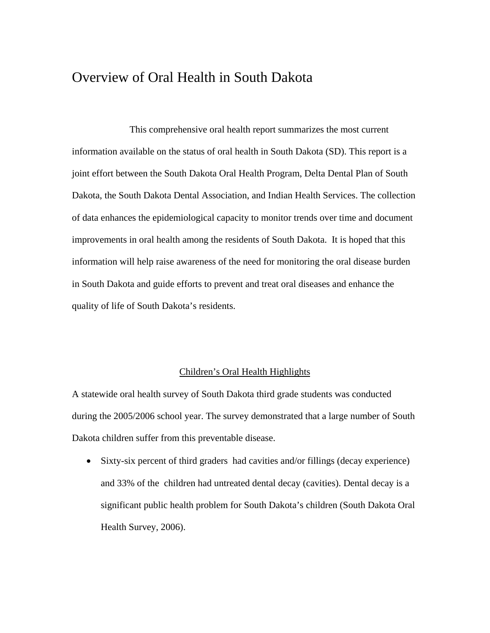# Overview of Oral Health in South Dakota

 This comprehensive oral health report summarizes the most current information available on the status of oral health in South Dakota (SD). This report is a joint effort between the South Dakota Oral Health Program, Delta Dental Plan of South Dakota, the South Dakota Dental Association, and Indian Health Services. The collection of data enhances the epidemiological capacity to monitor trends over time and document improvements in oral health among the residents of South Dakota. It is hoped that this information will help raise awareness of the need for monitoring the oral disease burden in South Dakota and guide efforts to prevent and treat oral diseases and enhance the quality of life of South Dakota's residents.

## Children's Oral Health Highlights

A statewide oral health survey of South Dakota third grade students was conducted during the 2005/2006 school year. The survey demonstrated that a large number of South Dakota children suffer from this preventable disease.

• Sixty-six percent of third graders had cavities and/or fillings (decay experience) and 33% of the children had untreated dental decay (cavities). Dental decay is a significant public health problem for South Dakota's children (South Dakota Oral Health Survey, 2006).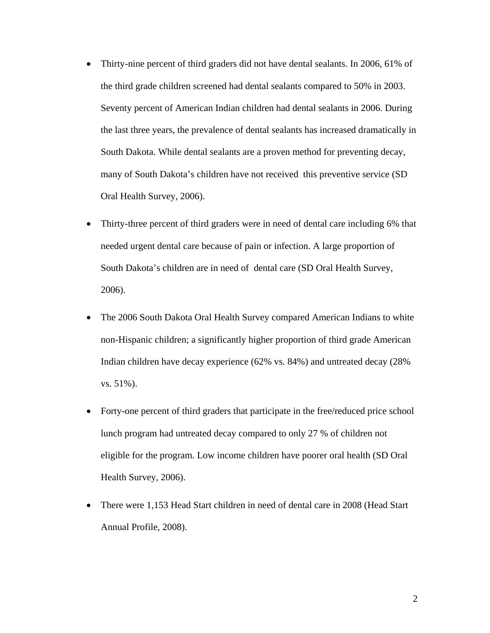- Thirty-nine percent of third graders did not have dental sealants. In 2006, 61% of the third grade children screened had dental sealants compared to 50% in 2003. Seventy percent of American Indian children had dental sealants in 2006. During the last three years, the prevalence of dental sealants has increased dramatically in South Dakota. While dental sealants are a proven method for preventing decay, many of South Dakota's children have not received this preventive service (SD Oral Health Survey, 2006).
- Thirty-three percent of third graders were in need of dental care including 6% that needed urgent dental care because of pain or infection. A large proportion of South Dakota's children are in need of dental care (SD Oral Health Survey, 2006).
- The 2006 South Dakota Oral Health Survey compared American Indians to white non-Hispanic children; a significantly higher proportion of third grade American Indian children have decay experience (62% vs. 84%) and untreated decay (28% vs. 51%).
- Forty-one percent of third graders that participate in the free/reduced price school lunch program had untreated decay compared to only 27 % of children not eligible for the program. Low income children have poorer oral health (SD Oral Health Survey, 2006).
- There were 1,153 Head Start children in need of dental care in 2008 (Head Start Annual Profile, 2008).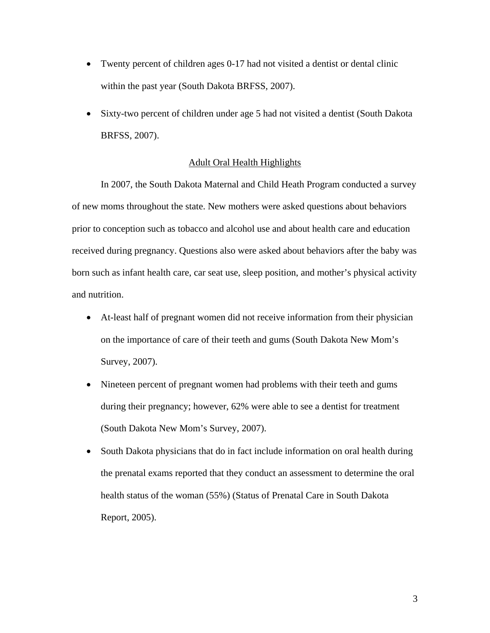- Twenty percent of children ages 0-17 had not visited a dentist or dental clinic within the past year (South Dakota BRFSS, 2007).
- Sixty-two percent of children under age 5 had not visited a dentist (South Dakota BRFSS, 2007).

## Adult Oral Health Highlights

 In 2007, the South Dakota Maternal and Child Heath Program conducted a survey of new moms throughout the state. New mothers were asked questions about behaviors prior to conception such as tobacco and alcohol use and about health care and education received during pregnancy. Questions also were asked about behaviors after the baby was born such as infant health care, car seat use, sleep position, and mother's physical activity and nutrition.

- At-least half of pregnant women did not receive information from their physician on the importance of care of their teeth and gums (South Dakota New Mom's Survey, 2007).
- Nineteen percent of pregnant women had problems with their teeth and gums during their pregnancy; however, 62% were able to see a dentist for treatment (South Dakota New Mom's Survey, 2007).
- South Dakota physicians that do in fact include information on oral health during the prenatal exams reported that they conduct an assessment to determine the oral health status of the woman (55%) (Status of Prenatal Care in South Dakota Report, 2005).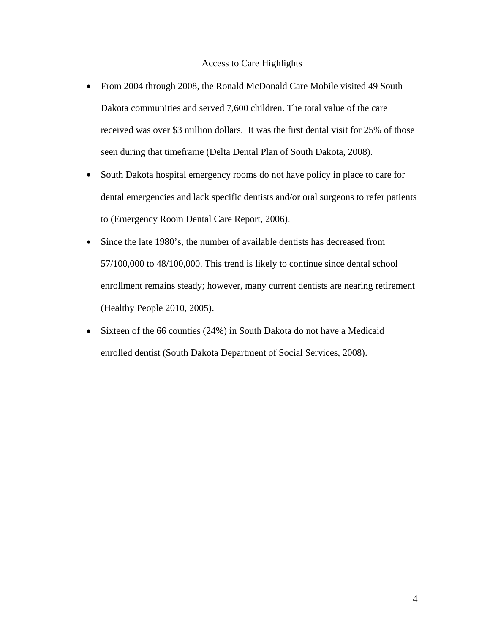## Access to Care Highlights

- From 2004 through 2008, the Ronald McDonald Care Mobile visited 49 South Dakota communities and served 7,600 children. The total value of the care received was over \$3 million dollars. It was the first dental visit for 25% of those seen during that timeframe (Delta Dental Plan of South Dakota, 2008).
- South Dakota hospital emergency rooms do not have policy in place to care for dental emergencies and lack specific dentists and/or oral surgeons to refer patients to (Emergency Room Dental Care Report, 2006).
- Since the late 1980's, the number of available dentists has decreased from 57/100,000 to 48/100,000. This trend is likely to continue since dental school enrollment remains steady; however, many current dentists are nearing retirement (Healthy People 2010, 2005).
- Sixteen of the 66 counties (24%) in South Dakota do not have a Medicaid enrolled dentist (South Dakota Department of Social Services, 2008).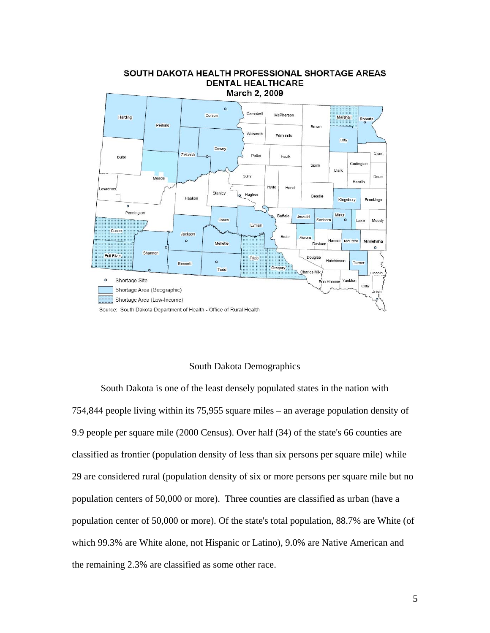

## SOUTH DAKOTA HEALTH PROFESSIONAL SHORTAGE AREAS **DENTAL HEALTHCARE**

## South Dakota Demographics

 South Dakota is one of the least densely populated states in the nation with 754,844 people living within its 75,955 square miles – an average population density of 9.9 people per square mile (2000 Census). Over half (34) of the state's 66 counties are classified as frontier (population density of less than six persons per square mile) while 29 are considered rural (population density of six or more persons per square mile but no population centers of 50,000 or more). Three counties are classified as urban (have a population center of 50,000 or more). Of the state's total population, 88.7% are White (of which 99.3% are White alone, not Hispanic or Latino), 9.0% are Native American and the remaining 2.3% are classified as some other race.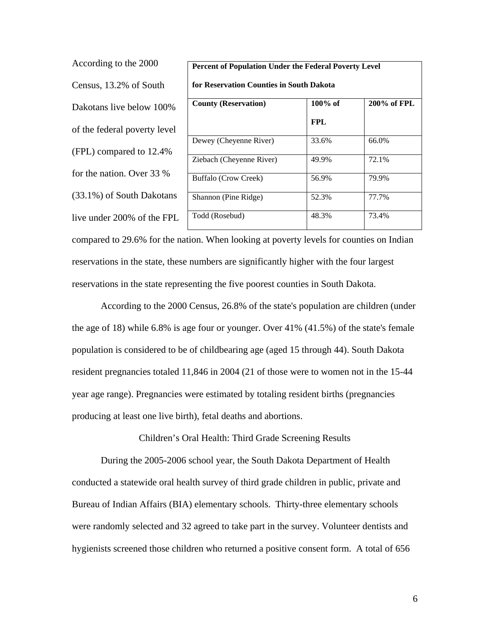According to the 2000 Census, 13.2% of South Dakotans live below 100% of the federal poverty level (FPL) compared to 12.4% for the nation. Over 33 % (33.1%) of South Dakotans live under 200% of the FPL

| Percent of Population Under the Federal Poverty Level |            |             |  |  |  |
|-------------------------------------------------------|------------|-------------|--|--|--|
| for Reservation Counties in South Dakota              |            |             |  |  |  |
| <b>County (Reservation)</b>                           | 100% of    | 200% of FPL |  |  |  |
|                                                       | <b>FPL</b> |             |  |  |  |
| Dewey (Cheyenne River)                                | 33.6%      | 66.0%       |  |  |  |
| Ziebach (Cheyenne River)                              | 49.9%      | 72.1%       |  |  |  |
| Buffalo (Crow Creek)                                  | 56.9%      | 79.9%       |  |  |  |
| Shannon (Pine Ridge)                                  | 52.3%      | 77.7%       |  |  |  |
| Todd (Rosebud)                                        | 48.3%      | 73.4%       |  |  |  |

compared to 29.6% for the nation. When looking at poverty levels for counties on Indian reservations in the state, these numbers are significantly higher with the four largest reservations in the state representing the five poorest counties in South Dakota.

 According to the 2000 Census, 26.8% of the state's population are children (under the age of 18) while 6.8% is age four or younger. Over 41% (41.5%) of the state's female population is considered to be of childbearing age (aged 15 through 44). South Dakota resident pregnancies totaled 11,846 in 2004 (21 of those were to women not in the 15-44 year age range). Pregnancies were estimated by totaling resident births (pregnancies producing at least one live birth), fetal deaths and abortions.

Children's Oral Health: Third Grade Screening Results

 During the 2005-2006 school year, the South Dakota Department of Health conducted a statewide oral health survey of third grade children in public, private and Bureau of Indian Affairs (BIA) elementary schools. Thirty-three elementary schools were randomly selected and 32 agreed to take part in the survey. Volunteer dentists and hygienists screened those children who returned a positive consent form. A total of 656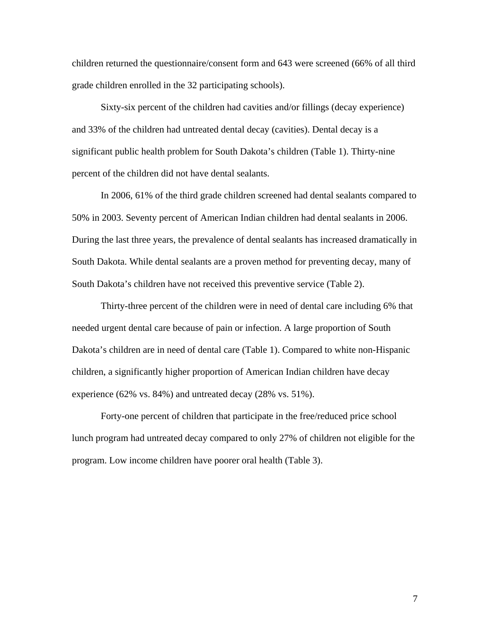children returned the questionnaire/consent form and 643 were screened (66% of all third grade children enrolled in the 32 participating schools).

 Sixty-six percent of the children had cavities and/or fillings (decay experience) and 33% of the children had untreated dental decay (cavities). Dental decay is a significant public health problem for South Dakota's children (Table 1). Thirty-nine percent of the children did not have dental sealants.

 In 2006, 61% of the third grade children screened had dental sealants compared to 50% in 2003. Seventy percent of American Indian children had dental sealants in 2006. During the last three years, the prevalence of dental sealants has increased dramatically in South Dakota. While dental sealants are a proven method for preventing decay, many of South Dakota's children have not received this preventive service (Table 2).

Thirty-three percent of the children were in need of dental care including 6% that needed urgent dental care because of pain or infection. A large proportion of South Dakota's children are in need of dental care (Table 1). Compared to white non-Hispanic children, a significantly higher proportion of American Indian children have decay experience (62% vs. 84%) and untreated decay (28% vs. 51%).

Forty-one percent of children that participate in the free/reduced price school lunch program had untreated decay compared to only 27% of children not eligible for the program. Low income children have poorer oral health (Table 3).

7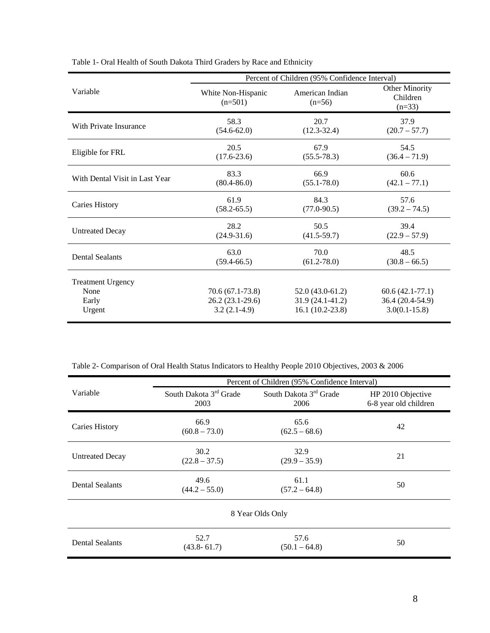|                                                     | Percent of Children (95% Confidence Interval)            |                                                             |                                                            |
|-----------------------------------------------------|----------------------------------------------------------|-------------------------------------------------------------|------------------------------------------------------------|
| Variable                                            | White Non-Hispanic<br>$(n=501)$                          | American Indian<br>$(n=56)$                                 | Other Minority<br>Children<br>$(n=33)$                     |
| With Private Insurance                              | 58.3                                                     | 20.7                                                        | 37.9                                                       |
|                                                     | $(54.6 - 62.0)$                                          | $(12.3 - 32.4)$                                             | $(20.7 - 57.7)$                                            |
| Eligible for FRL                                    | 20.5                                                     | 67.9                                                        | 54.5                                                       |
|                                                     | $(17.6 - 23.6)$                                          | $(55.5 - 78.3)$                                             | $(36.4 - 71.9)$                                            |
| With Dental Visit in Last Year                      | 83.3                                                     | 66.9                                                        | 60.6                                                       |
|                                                     | $(80.4 - 86.0)$                                          | $(55.1 - 78.0)$                                             | $(42.1 - 77.1)$                                            |
| <b>Caries History</b>                               | 61.9                                                     | 84.3                                                        | 57.6                                                       |
|                                                     | $(58.2 - 65.5)$                                          | $(77.0 - 90.5)$                                             | $(39.2 - 74.5)$                                            |
| <b>Untreated Decay</b>                              | 28.2                                                     | 50.5                                                        | 39.4                                                       |
|                                                     | $(24.9 - 31.6)$                                          | $(41.5 - 59.7)$                                             | $(22.9 - 57.9)$                                            |
| <b>Dental Sealants</b>                              | 63.0                                                     | 70.0                                                        | 48.5                                                       |
|                                                     | $(59.4 - 66.5)$                                          | $(61.2 - 78.0)$                                             | $(30.8 - 66.5)$                                            |
| <b>Treatment Urgency</b><br>None<br>Early<br>Urgent | $70.6(67.1-73.8)$<br>$26.2(23.1-29.6)$<br>$3.2(2.1-4.9)$ | $52.0(43.0-61.2)$<br>$31.9(24.1-41.2)$<br>$16.1(10.2-23.8)$ | $60.6(42.1-77.1)$<br>36.4 (20.4-54.9)<br>$3.0(0.1 - 15.8)$ |

Table 1- Oral Health of South Dakota Third Graders by Race and Ethnicity

Table 2- Comparison of Oral Health Status Indicators to Healthy People 2010 Objectives, 2003 & 2006

|                        | Percent of Children (95% Confidence Interval) |                                            |                                            |  |  |  |
|------------------------|-----------------------------------------------|--------------------------------------------|--------------------------------------------|--|--|--|
| Variable               | South Dakota 3 <sup>rd</sup> Grade<br>2003    | South Dakota 3 <sup>rd</sup> Grade<br>2006 | HP 2010 Objective<br>6-8 year old children |  |  |  |
| Caries History         | 66.9<br>$(60.8 - 73.0)$                       | 65.6<br>$(62.5 - 68.6)$                    | 42                                         |  |  |  |
| <b>Untreated Decay</b> | 30.2<br>$(22.8 - 37.5)$                       | 32.9<br>$(29.9 - 35.9)$                    | 21                                         |  |  |  |
| <b>Dental Sealants</b> | 49.6<br>$(44.2 - 55.0)$                       | 61.1<br>$(57.2 - 64.8)$                    | 50                                         |  |  |  |
| 8 Year Olds Only       |                                               |                                            |                                            |  |  |  |
| <b>Dental Sealants</b> | 52.7<br>$(43.8 - 61.7)$                       | 57.6<br>$(50.1 - 64.8)$                    | 50                                         |  |  |  |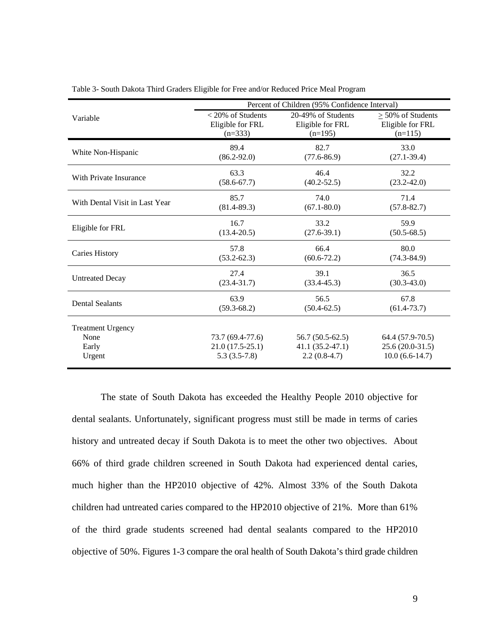|                                | Percent of Children (95% Confidence Interval) |                    |                        |
|--------------------------------|-----------------------------------------------|--------------------|------------------------|
| Variable                       | $<$ 20% of Students                           | 20-49% of Students | $\geq$ 50% of Students |
|                                | Eligible for FRL                              | Eligible for FRL   | Eligible for FRL       |
|                                | $(n=333)$                                     | $(n=195)$          | $(n=115)$              |
|                                | 89.4                                          | 82.7               | 33.0                   |
| White Non-Hispanic             | $(86.2 - 92.0)$                               | $(77.6 - 86.9)$    | $(27.1 - 39.4)$        |
| With Private Insurance         | 63.3                                          | 46.4               | 32.2                   |
|                                | $(58.6 - 67.7)$                               | $(40.2 - 52.5)$    | $(23.2 - 42.0)$        |
| With Dental Visit in Last Year | 85.7                                          | 74.0               | 71.4                   |
|                                | $(81.4 - 89.3)$                               | $(67.1 - 80.0)$    | $(57.8 - 82.7)$        |
| Eligible for FRL               | 16.7                                          | 33.2               | 59.9                   |
|                                | $(13.4 - 20.5)$                               | $(27.6 - 39.1)$    | $(50.5 - 68.5)$        |
| Caries History                 | 57.8                                          | 66.4               | 80.0                   |
|                                | $(53.2 - 62.3)$                               | $(60.6 - 72.2)$    | $(74.3 - 84.9)$        |
| <b>Untreated Decay</b>         | 27.4                                          | 39.1               | 36.5                   |
|                                | $(23.4 - 31.7)$                               | $(33.4 - 45.3)$    | $(30.3 - 43.0)$        |
| <b>Dental Sealants</b>         | 63.9                                          | 56.5               | 67.8                   |
|                                | $(59.3 - 68.2)$                               | $(50.4 - 62.5)$    | $(61.4 - 73.7)$        |
| <b>Treatment Urgency</b>       |                                               |                    |                        |
| None                           | 73.7 (69.4-77.6)                              | $56.7(50.5-62.5)$  | 64.4 (57.9-70.5)       |
| Early                          | $21.0(17.5-25.1)$                             | $41.1(35.2-47.1)$  | $25.6(20.0-31.5)$      |
| Urgent                         | $5.3(3.5-7.8)$                                | $2.2(0.8-4.7)$     | $10.0(6.6-14.7)$       |

Table 3- South Dakota Third Graders Eligible for Free and/or Reduced Price Meal Program

 The state of South Dakota has exceeded the Healthy People 2010 objective for dental sealants. Unfortunately, significant progress must still be made in terms of caries history and untreated decay if South Dakota is to meet the other two objectives. About 66% of third grade children screened in South Dakota had experienced dental caries, much higher than the HP2010 objective of 42%. Almost 33% of the South Dakota children had untreated caries compared to the HP2010 objective of 21%. More than 61% of the third grade students screened had dental sealants compared to the HP2010 objective of 50%. Figures 1-3 compare the oral health of South Dakota's third grade children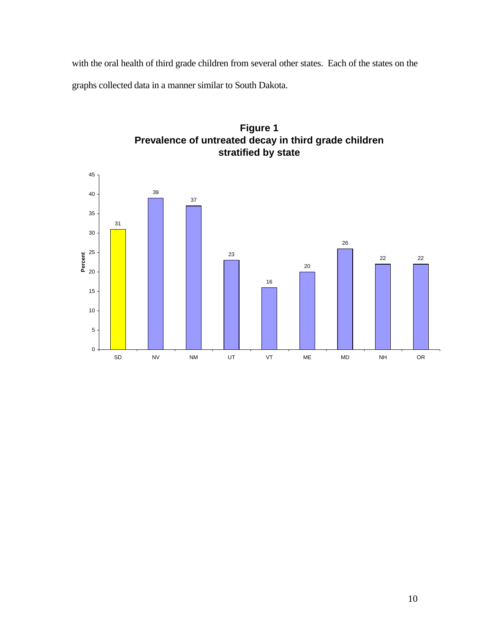with the oral health of third grade children from several other states. Each of the states on the graphs collected data in a manner similar to South Dakota.



**Figure 1 Prevalence of untreated decay in third grade children stratified by state**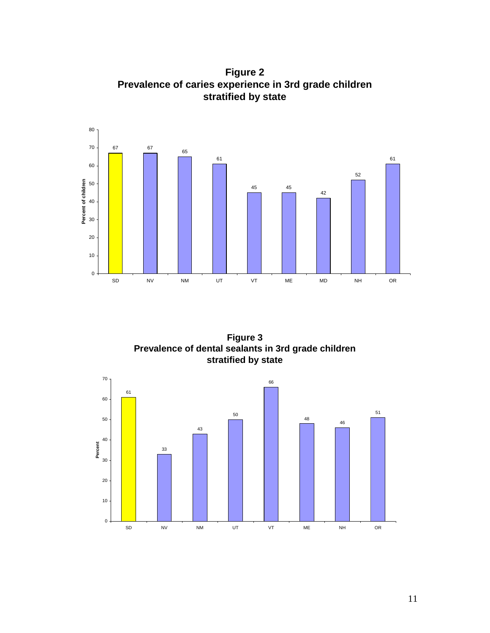<sup>67</sup> <sup>65</sup> 45  $\mathbf 0$  SD NV NM UT VT ME MD NH OR **Percent of children**

**Figure 2 Prevalence of caries experience in 3rd grade children stratified by state**

**Figure 3 Prevalence of dental sealants in 3rd grade children stratified by state**

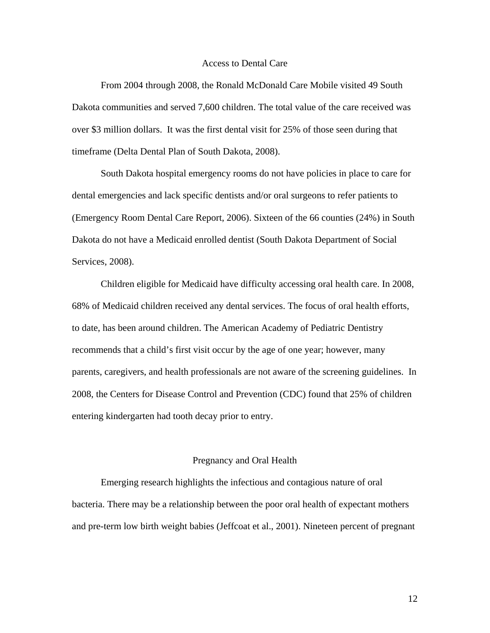## Access to Dental Care

 From 2004 through 2008, the Ronald McDonald Care Mobile visited 49 South Dakota communities and served 7,600 children. The total value of the care received was over \$3 million dollars. It was the first dental visit for 25% of those seen during that timeframe (Delta Dental Plan of South Dakota, 2008).

 South Dakota hospital emergency rooms do not have policies in place to care for dental emergencies and lack specific dentists and/or oral surgeons to refer patients to (Emergency Room Dental Care Report, 2006). Sixteen of the 66 counties (24%) in South Dakota do not have a Medicaid enrolled dentist (South Dakota Department of Social Services, 2008).

 Children eligible for Medicaid have difficulty accessing oral health care. In 2008, 68% of Medicaid children received any dental services. The focus of oral health efforts, to date, has been around children. The American Academy of Pediatric Dentistry recommends that a child's first visit occur by the age of one year; however, many parents, caregivers, and health professionals are not aware of the screening guidelines. In 2008, the Centers for Disease Control and Prevention (CDC) found that 25% of children entering kindergarten had tooth decay prior to entry.

#### Pregnancy and Oral Health

 Emerging research highlights the infectious and contagious nature of oral bacteria. There may be a relationship between the poor oral health of expectant mothers and pre-term low birth weight babies (Jeffcoat et al., 2001). Nineteen percent of pregnant

12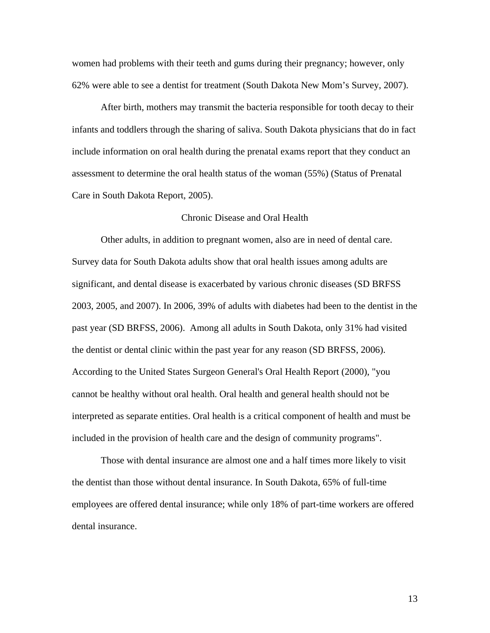women had problems with their teeth and gums during their pregnancy; however, only 62% were able to see a dentist for treatment (South Dakota New Mom's Survey, 2007).

 After birth, mothers may transmit the bacteria responsible for tooth decay to their infants and toddlers through the sharing of saliva. South Dakota physicians that do in fact include information on oral health during the prenatal exams report that they conduct an assessment to determine the oral health status of the woman (55%) (Status of Prenatal Care in South Dakota Report, 2005).

## Chronic Disease and Oral Health

 Other adults, in addition to pregnant women, also are in need of dental care. Survey data for South Dakota adults show that oral health issues among adults are significant, and dental disease is exacerbated by various chronic diseases (SD BRFSS 2003, 2005, and 2007). In 2006, 39% of adults with diabetes had been to the dentist in the past year (SD BRFSS, 2006). Among all adults in South Dakota, only 31% had visited the dentist or dental clinic within the past year for any reason (SD BRFSS, 2006). According to the United States Surgeon General's Oral Health Report (2000), "you cannot be healthy without oral health. Oral health and general health should not be interpreted as separate entities. Oral health is a critical component of health and must be included in the provision of health care and the design of community programs".

 Those with dental insurance are almost one and a half times more likely to visit the dentist than those without dental insurance. In South Dakota, 65% of full-time employees are offered dental insurance; while only 18% of part-time workers are offered dental insurance.

13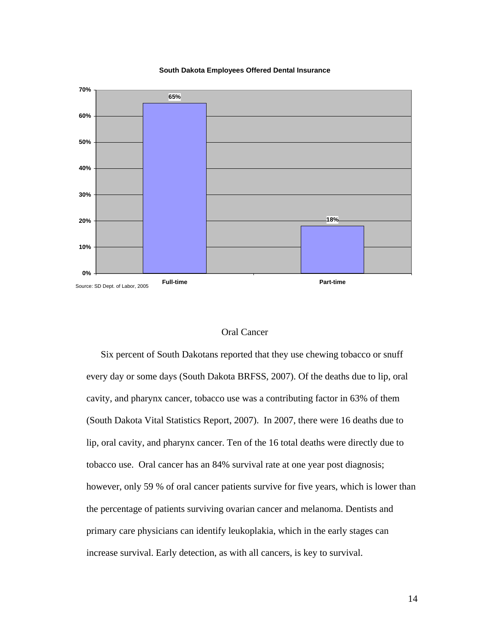#### **South Dakota Employees Offered Dental Insurance**



## Oral Cancer

 Six percent of South Dakotans reported that they use chewing tobacco or snuff every day or some days (South Dakota BRFSS, 2007). Of the deaths due to lip, oral cavity, and pharynx cancer, tobacco use was a contributing factor in 63% of them (South Dakota Vital Statistics Report, 2007). In 2007, there were 16 deaths due to lip, oral cavity, and pharynx cancer. Ten of the 16 total deaths were directly due to tobacco use. Oral cancer has an 84% survival rate at one year post diagnosis; however, only 59 % of oral cancer patients survive for five years, which is lower than the percentage of patients surviving ovarian cancer and melanoma. Dentists and primary care physicians can identify leukoplakia, which in the early stages can increase survival. Early detection, as with all cancers, is key to survival.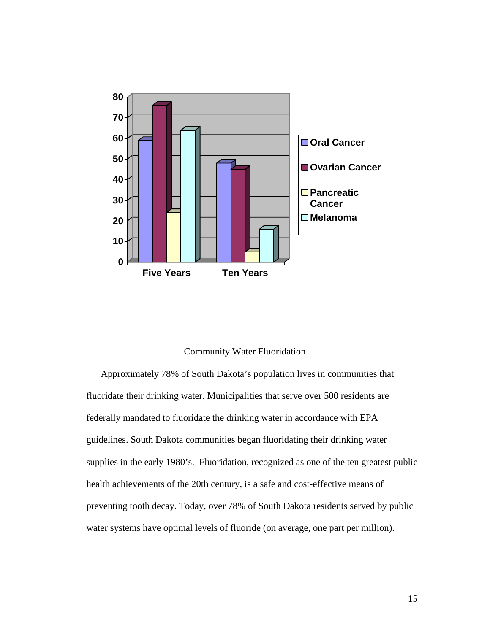

## Community Water Fluoridation

 Approximately 78% of South Dakota's population lives in communities that fluoridate their drinking water. Municipalities that serve over 500 residents are federally mandated to fluoridate the drinking water in accordance with EPA guidelines. South Dakota communities began fluoridating their drinking water supplies in the early 1980's. Fluoridation, recognized as one of the ten greatest public health achievements of the 20th century, is a safe and cost-effective means of preventing tooth decay. Today, over 78% of South Dakota residents served by public water systems have optimal levels of fluoride (on average, one part per million).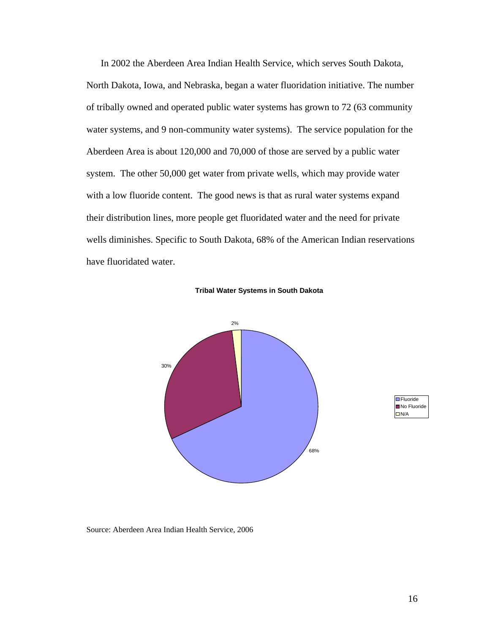In 2002 the Aberdeen Area Indian Health Service, which serves South Dakota, North Dakota, Iowa, and Nebraska, began a water fluoridation initiative. The number of tribally owned and operated public water systems has grown to 72 (63 community water systems, and 9 non-community water systems). The service population for the Aberdeen Area is about 120,000 and 70,000 of those are served by a public water system. The other 50,000 get water from private wells, which may provide water with a low fluoride content. The good news is that as rural water systems expand their distribution lines, more people get fluoridated water and the need for private wells diminishes. Specific to South Dakota, 68% of the American Indian reservations have fluoridated water.

## **Tribal Water Systems in South Dakota**





Source: Aberdeen Area Indian Health Service, 2006